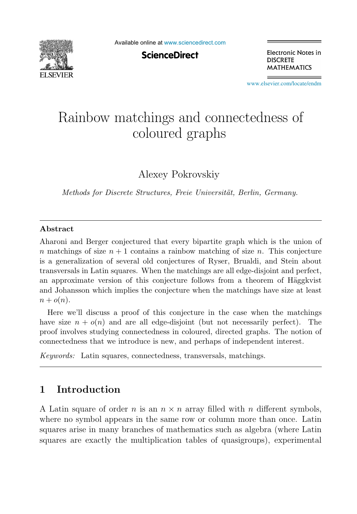

Available online at [www.sciencedirect.com](http://www.sciencedirect.com)

**ScienceDirect** 

Electronic Notes in **DISCRETE MATHEMATICS** 

[www.elsevier.com/locate/endm](http://www.elsevier.com/locate/endm)

# Rainbow matchings and connectedness of coloured graphs

Alexey Pokrovskiy

*Methods for Discrete Structures, Freie Universität, Berlin, Germany.* 

## **Abstract**

Aharoni and Berger conjectured that every bipartite graph which is the union of n matchings of size  $n + 1$  contains a rainbow matching of size n. This conjecture is a generalization of several old conjectures of Ryser, Brualdi, and Stein about transversals in Latin squares. When the matchings are all edge-disjoint and perfect, an approximate version of this conjecture follows from a theorem of Häggkvist and Johansson which implies the conjecture when the matchings have size at least  $n + o(n)$ .

Here we'll discuss a proof of this conjecture in the case when the matchings have size  $n + o(n)$  and are all edge-disjoint (but not necessarily perfect). The proof involves studying connectedness in coloured, directed graphs. The notion of connectedness that we introduce is new, and perhaps of independent interest.

*Keywords:* Latin squares, connectedness, transversals, matchings.

# **1 Introduction**

A Latin square of order n is an  $n \times n$  array filled with n different symbols, where no symbol appears in the same row or column more than once. Latin squares arise in many branches of mathematics such as algebra (where Latin squares are exactly the multiplication tables of quasigroups), experimental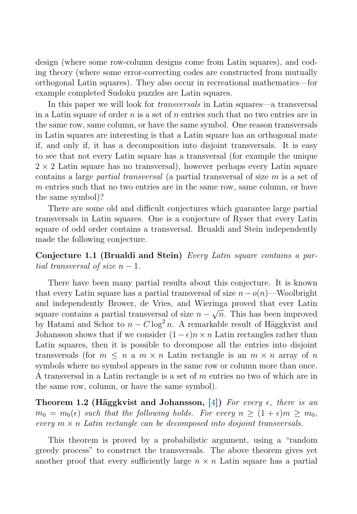<span id="page-1-0"></span>design (where some row-column designs come from Latin squares), and coding theory (where some error-correcting codes are constructed from mutually orthogonal Latin squares). They also occur in recreational mathematics—for example completed Sudoku puzzles are Latin squares.

In this paper we will look for *transversals* in Latin squares—a transversal in a Latin square of order n is a set of n entries such that no two entries are in the same row, same column, or have the same symbol. One reason transversals in Latin squares are interesting is that a Latin square has an orthogonal mate if, and only if, it has a decomposition into disjoint transversals. It is easy to see that not every Latin square has a transversal (for example the unique  $2 \times 2$  Latin square has no transversal), however perhaps every Latin square contains a large *partial transversal* (a partial transversal of size  $m$  is a set of m entries such that no two entries are in the same row, same column, or have the same symbol)?

There are some old and difficult conjectures which guarantee large partial transversals in Latin squares. One is a conjecture of Ryser that every Latin square of odd order contains a transversal. Brualdi and Stein independently made the following conjecture.

**Conjecture 1.1 (Brualdi and Stein)** Every Latin square contains a partial transversal of size  $n-1$ .

There have been many partial results about this conjecture. It is known that every Latin square has a partial transversal of size  $n - o(n)$ —Woolbright and independently Brower, de Vries, and Wieringa proved that ever Latin square contains a partial transversal of size  $n - \sqrt{n}$ . This has been improved by Hatami and Schor to  $n - C \log^2 n$ . A remarkable result of Häggkvist and Johansson shows that if we consider  $(1 - \epsilon)n \times n$  Latin rectangles rather than Latin squares, then it is possible to decompose all the entries into disjoint transversals (for  $m \leq n$  a  $m \times n$  Latin rectangle is an  $m \times n$  array of n symbols where no symbol appears in the same row or column more than once. A transversal in a Latin rectangle is a set of m entries no two of which are in the same row, column, or have the same symbol).

**Theorem 1.2 (Häggkvist and Johansson,**  $[4]$ **) For every**  $\epsilon$ **, there is an**  $m_0 = m_0(\epsilon)$  such that the following holds. For every  $n \geq (1+\epsilon)m \geq m_0$ , every  $m \times n$  Latin rectangle can be decomposed into disjoint transversals.

This theorem is proved by a probabilistic argument, using a "random greedy process" to construct the transversals. The above theorem gives yet another proof that every sufficiently large  $n \times n$  Latin square has a partial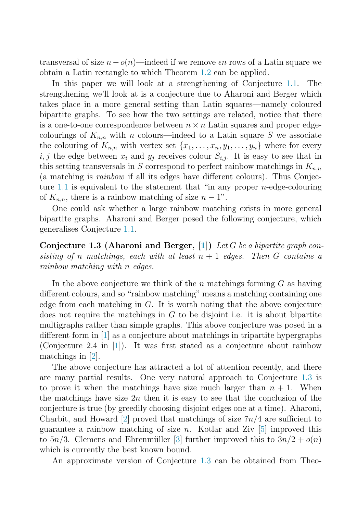<span id="page-2-0"></span>transversal of size  $n - o(n)$ —indeed if we remove  $\epsilon n$  rows of a Latin square we obtain a Latin rectangle to which Theorem [1.2](#page-1-0) can be applied.

In this paper we will look at a strengthening of Conjecture [1.1.](#page-1-0) The strengthening we'll look at is a conjecture due to Aharoni and Berger which takes place in a more general setting than Latin squares—namely coloured bipartite graphs. To see how the two settings are related, notice that there is a one-to-one correspondence between  $n \times n$  Latin squares and proper edgecolourings of  $K_{n,n}$  with n colours—indeed to a Latin square S we associate the colouring of  $K_{n,n}$  with vertex set  $\{x_1,\ldots,x_n,y_1,\ldots,y_n\}$  where for every i, j the edge between  $x_i$  and  $y_j$  receives colour  $S_{i,j}$ . It is easy to see that in this setting transversals in S correspond to perfect rainbow matchings in  $K_{n,n}$ (a matching is rainbow if all its edges have different colours). Thus Conjec-ture [1.1](#page-1-0) is equivalent to the statement that "in any proper *n*-edge-colouring of  $K_{n,n}$ , there is a rainbow matching of size  $n-1$ ".

One could ask whether a large rainbow matching exists in more general bipartite graphs. Aharoni and Berger posed the following conjecture, which generalises Conjecture [1.1.](#page-1-0)

**Conjecture 1.3 (Aharoni and Berger, [\[1\]](#page-5-0))** Let G be a bipartite graph consisting of n matchings, each with at least  $n + 1$  edges. Then G contains a rainbow matching with n edges.

In the above conjecture we think of the n matchings forming  $G$  as having different colours, and so "rainbow matching" means a matching containing one edge from each matching in  $G$ . It is worth noting that the above conjecture does not require the matchings in  $G$  to be disjoint i.e. it is about bipartite multigraphs rather than simple graphs. This above conjecture was posed in a different form in [\[1\]](#page-5-0) as a conjecture about matchings in tripartite hypergraphs (Conjecture 2.4 in [\[1\]](#page-5-0)). It was first stated as a conjecture about rainbow matchings in [\[2\]](#page-5-0).

The above conjecture has attracted a lot of attention recently, and there are many partial results. One very natural approach to Conjecture 1.3 is to prove it when the matchings have size much larger than  $n + 1$ . When the matchings have size  $2n$  then it is easy to see that the conclusion of the conjecture is true (by greedily choosing disjoint edges one at a time). Aharoni, Charbit, and Howard [\[2\]](#page-5-0) proved that matchings of size  $7n/4$  are sufficient to guarantee a rainbow matching of size n. Kotlar and Ziv  $[5]$  improved this to  $5n/3$ . Clemens and Ehrenmüller [\[3\]](#page-5-0) further improved this to  $3n/2 + o(n)$ which is currently the best known bound.

An approximate version of Conjecture 1.3 can be obtained from Theo-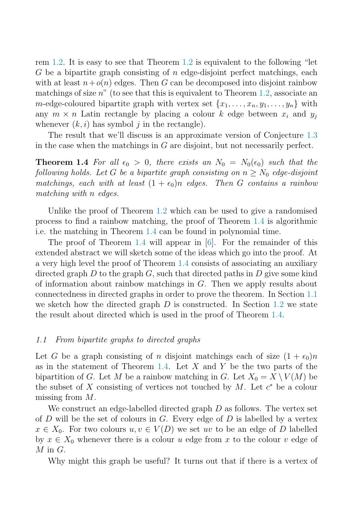<span id="page-3-0"></span>rem [1.2.](#page-1-0) It is easy to see that Theorem [1.2](#page-1-0) is equivalent to the following "let G be a bipartite graph consisting of  $n$  edge-disjoint perfect matchings, each with at least  $n+o(n)$  edges. Then G can be decomposed into disjoint rainbow matchings of size  $n^{\prime\prime}$  (to see that this is equivalent to Theorem [1.2,](#page-1-0) associate an *m*-edge-coloured bipartite graph with vertex set  $\{x_1, \ldots, x_n, y_1, \ldots, y_n\}$  with any  $m \times n$  Latin rectangle by placing a colour k edge between  $x_i$  and  $y_j$ whenever  $(k, i)$  has symbol j in the rectangle).

The result that we'll discuss is an approximate version of Conjecture [1.3](#page-2-0) in the case when the matchings in  $G$  are disjoint, but not necessarily perfect.

**Theorem 1.4** For all  $\epsilon_0 > 0$ , there exists an  $N_0 = N_0(\epsilon_0)$  such that the following holds. Let G be a bipartite graph consisting on  $n \geq N_0$  edge-disjoint matchings, each with at least  $(1 + \epsilon_0)n$  edges. Then G contains a rainbow matching with n edges.

Unlike the proof of Theorem [1.2](#page-1-0) which can be used to give a randomised process to find a rainbow matching, the proof of Theorem 1.4 is algorithmic i.e. the matching in Theorem 1.4 can be found in polynomial time.

The proof of Theorem 1.4 will appear in [\[6\]](#page-5-0). For the remainder of this extended abstract we will sketch some of the ideas which go into the proof. At a very high level the proof of Theorem 1.4 consists of associating an auxiliary directed graph  $D$  to the graph  $G$ , such that directed paths in  $D$  give some kind of information about rainbow matchings in G. Then we apply results about connectedness in directed graphs in order to prove the theorem. In Section 1.1 we sketch how the directed graph  $D$  is constructed. In Section [1.2](#page-4-0) we state the result about directed which is used in the proof of Theorem 1.4.

#### 1.1 From bipartite graphs to directed graphs

Let G be a graph consisting of n disjoint matchings each of size  $(1 + \epsilon_0)n$ as in the statement of Theorem 1.4. Let  $X$  and  $Y$  be the two parts of the bipartition of G. Let M be a rainbow matching in G. Let  $X_0 = X \setminus V(M)$  be the subset of X consisting of vertices not touched by M. Let  $c^*$  be a colour missing from M.

We construct an edge-labelled directed graph D as follows. The vertex set of  $D$  will be the set of colours in  $G$ . Every edge of  $D$  is labelled by a vertex  $x \in X_0$ . For two colours  $u, v \in V(D)$  we set uv to be an edge of D labelled by  $x \in X_0$  whenever there is a colour u edge from x to the colour v edge of  $M$  in  $G$ .

Why might this graph be useful? It turns out that if there is a vertex of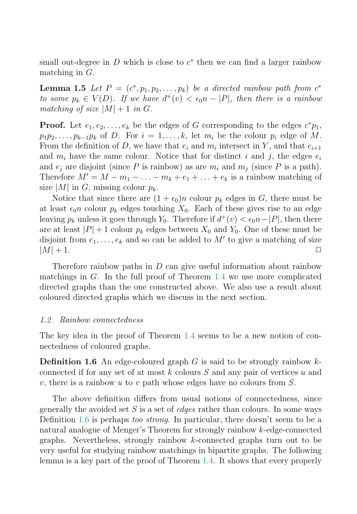<span id="page-4-0"></span>small out-degree in D which is close to  $c^*$  then we can find a larger rainbow matching in G.

**Lemma 1.5** Let  $P = (c^*, p_1, p_2, \ldots, p_k)$  be a directed rainbow path from  $c^*$ to some  $p_k \in V(D)$ . If we have  $d^+(v) < \epsilon_0 n - |P|$ , then there is a rainbow matching of size  $|M|+1$  in G.

**Proof.** Let  $e_1, e_2, \ldots, e_k$  be the edges of G corresponding to the edges  $c^*p_1$ ,  $p_1p_2,\ldots,p_{k-1}p_k$  of D. For  $i=1,\ldots,k$ , let  $m_i$  be the colour  $p_i$  edge of M. From the definition of D, we have that  $e_i$  and  $m_i$  intersect in Y, and that  $e_{i+1}$ and  $m_i$  have the same colour. Notice that for distinct i and j, the edges  $e_i$ and  $e_i$  are disjoint (since P is rainbow) as are  $m_i$  and  $m_j$  (since P is a path). Therefore  $M' = M - m_1 - \ldots - m_k + e_1 + \ldots + e_k$  is a rainbow matching of size |M| in G, missing colour  $p_k$ .

Notice that since there are  $(1 + \epsilon_0)n$  colour  $p_k$  edges in G, there must be at least  $\epsilon_0 n$  colour  $p_k$  edges touching  $X_0$ . Each of these gives rise to an edge leaving  $p_k$  unless it goes through  $Y_0$ . Therefore if  $d^+(v) < \epsilon_0 n - |P|$ , then there are at least  $|P|+1$  colour  $p_k$  edges between  $X_0$  and  $Y_0$ . One of these must be disjoint from  $e_1, \ldots, e_k$  and so can be added to M' to give a matching of size  $|M| + 1.$ 

Therefore rainbow paths in  $D$  can give useful information about rainbow matchings in G. In the full proof of Theorem [1.4](#page-3-0) we use more complicated directed graphs than the one constructed above. We also use a result about coloured directed graphs which we discuss in the next section.

## 1.2 Rainbow connectedness

The key idea in the proof of Theorem [1.4](#page-3-0) seems to be a new notion of connectedness of coloured graphs.

**Definition 1.6** An edge-coloured graph G is said to be strongly rainbow  $k$ connected if for any set of at most  $k$  colours  $S$  and any pair of vertices  $u$  and v, there is a rainbow u to v path whose edges have no colours from  $S$ .

The above definition differs from usual notions of connectedness, since generally the avoided set S is a set of *edges* rather than colours. In some ways Definition 1.6 is perhaps too strong. In particular, there doesn't seem to be a natural analogue of Menger's Theorem for strongly rainbow k-edge-connected graphs. Nevertheless, strongly rainbow k-connected graphs turn out to be very useful for studying rainbow matchings in bipartite graphs. The following lemma is a key part of the proof of Theorem [1.4.](#page-3-0) It shows that every properly